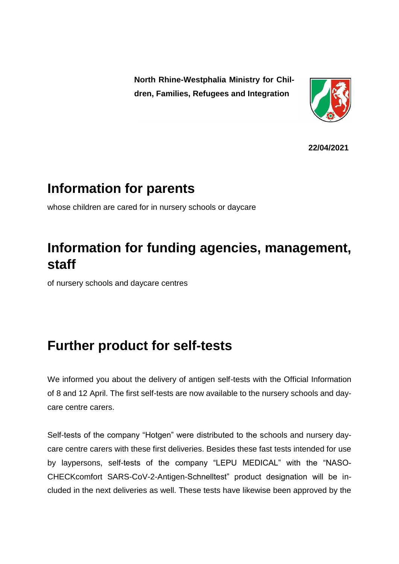**North Rhine-Westphalia Ministry for Children, Families, Refugees and Integration**



**22/04/2021**

## **Information for parents**

whose children are cared for in nursery schools or daycare

## **Information for funding agencies, management, staff**

of nursery schools and daycare centres

## **Further product for self-tests**

We informed you about the delivery of antigen self-tests with the Official Information of 8 and 12 April. The first self-tests are now available to the nursery schools and daycare centre carers.

Self-tests of the company "Hotgen" were distributed to the schools and nursery daycare centre carers with these first deliveries. Besides these fast tests intended for use by laypersons, self-tests of the company "LEPU MEDICAL" with the "NASO-CHECKcomfort SARS-CoV-2-Antigen-Schnelltest" product designation will be included in the next deliveries as well. These tests have likewise been approved by the